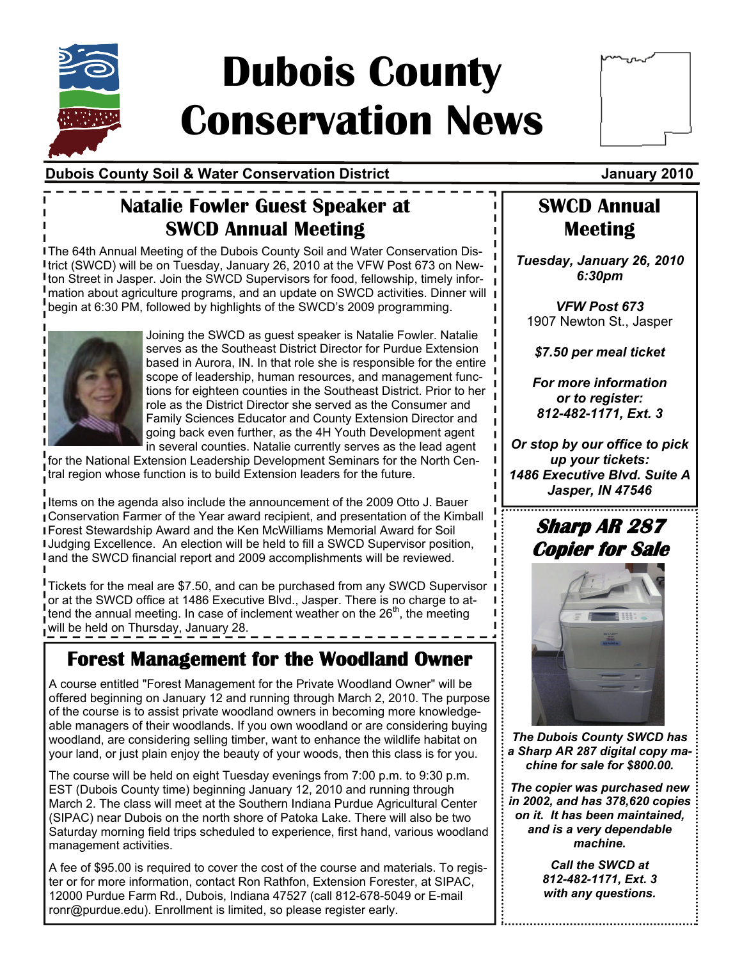

# **Dubois County Conservation News**

| ممهممه |  |
|--------|--|
|        |  |
|        |  |
|        |  |
|        |  |

### **Dubois County Soil & Water Conservation District Current Constructs and Manuary 2010**

## **Natalie Fowler Guest Speaker at SWCD Annual Meeting**

The 64th Annual Meeting of the Dubois County Soil and Water Conservation District (SWCD) will be on Tuesday, January 26, 2010 at the VFW Post 673 on Newton Street in Jasper. Join the SWCD Supervisors for food, fellowship, timely information about agriculture programs, and an update on SWCD activities. Dinner will begin at 6:30 PM, followed by highlights of the SWCD's 2009 programming.



Joining the SWCD as guest speaker is Natalie Fowler. Natalie serves as the Southeast District Director for Purdue Extension based in Aurora, IN. In that role she is responsible for the entire scope of leadership, human resources, and management functions for eighteen counties in the Southeast District. Prior to her role as the District Director she served as the Consumer and Family Sciences Educator and County Extension Director and going back even further, as the 4H Youth Development agent in several counties. Natalie currently serves as the lead agent

for the National Extension Leadership Development Seminars for the North Central region whose function is to build Extension leaders for the future.

Items on the agenda also include the announcement of the 2009 Otto J. Bauer Conservation Farmer of the Year award recipient, and presentation of the Kimball Forest Stewardship Award and the Ken McWilliams Memorial Award for Soil Judging Excellence. An election will be held to fill a SWCD Supervisor position, and the SWCD financial report and 2009 accomplishments will be reviewed.

**Tickets for the meal are \$7.50, and can be purchased from any SWCD Supervisor** or at the SWCD office at 1486 Executive Blvd., Jasper. There is no charge to attend the annual meeting. In case of inclement weather on the  $26<sup>th</sup>$ , the meeting will be held on Thursday, January 28.

## **Forest Management for the Woodland Owner**

A course entitled "Forest Management for the Private Woodland Owner" will be offered beginning on January 12 and running through March 2, 2010. The purpose of the course is to assist private woodland owners in becoming more knowledgeable managers of their woodlands. If you own woodland or are considering buying woodland, are considering selling timber, want to enhance the wildlife habitat on your land, or just plain enjoy the beauty of your woods, then this class is for you.

The course will be held on eight Tuesday evenings from 7:00 p.m. to 9:30 p.m. EST (Dubois County time) beginning January 12, 2010 and running through March 2. The class will meet at the Southern Indiana Purdue Agricultural Center (SIPAC) near Dubois on the north shore of Patoka Lake. There will also be two Saturday morning field trips scheduled to experience, first hand, various woodland management activities.

A fee of \$95.00 is required to cover the cost of the course and materials. To register or for more information, contact Ron Rathfon, Extension Forester, at SIPAC, 12000 Purdue Farm Rd., Dubois, Indiana 47527 (call 812-678-5049 or E-mail ronr@purdue.edu). Enrollment is limited, so please register early.

### **SWCD Annual Meeting**

*Tuesday, January 26, 2010 6:30pm* 

*VFW Post 673*  1907 Newton St., Jasper

*\$7.50 per meal ticket* 

*For more information or to register: 812-482-1171, Ext. 3* 

*Or stop by our office to pick up your tickets: 1486 Executive Blvd. Suite A Jasper, IN 47546*

## **Sharp AR 287 Copier for Sale**



*The Dubois County SWCD has a Sharp AR 287 digital copy machine for sale for \$800.00.* 

*The copier was purchased new in 2002, and has 378,620 copies on it. It has been maintained, and is a very dependable machine.* 

> *Call the SWCD at 812-482-1171, Ext. 3 with any questions.*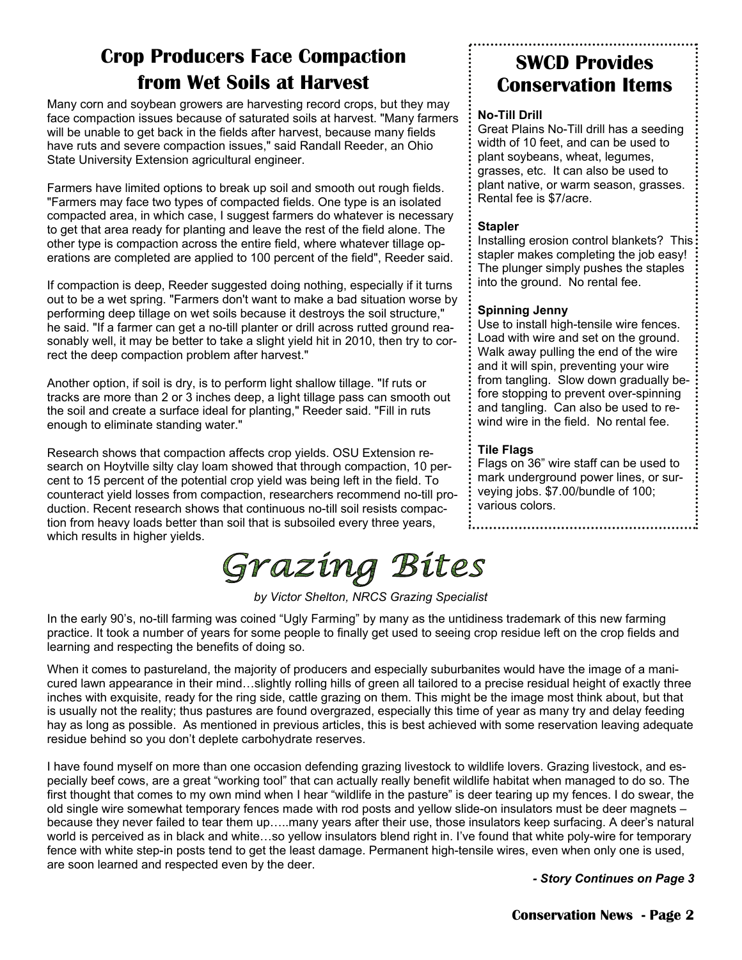## **Crop Producers Face Compaction from Wet Soils at Harvest**

Many corn and soybean growers are harvesting record crops, but they may face compaction issues because of saturated soils at harvest. "Many farmers will be unable to get back in the fields after harvest, because many fields have ruts and severe compaction issues," said Randall Reeder, an Ohio State University Extension agricultural engineer.

Farmers have limited options to break up soil and smooth out rough fields. "Farmers may face two types of compacted fields. One type is an isolated compacted area, in which case, I suggest farmers do whatever is necessary to get that area ready for planting and leave the rest of the field alone. The other type is compaction across the entire field, where whatever tillage operations are completed are applied to 100 percent of the field", Reeder said.

If compaction is deep, Reeder suggested doing nothing, especially if it turns out to be a wet spring. "Farmers don't want to make a bad situation worse by performing deep tillage on wet soils because it destroys the soil structure," he said. "If a farmer can get a no-till planter or drill across rutted ground reasonably well, it may be better to take a slight yield hit in 2010, then try to correct the deep compaction problem after harvest."

Another option, if soil is dry, is to perform light shallow tillage. "If ruts or tracks are more than 2 or 3 inches deep, a light tillage pass can smooth out the soil and create a surface ideal for planting," Reeder said. "Fill in ruts enough to eliminate standing water."

Research shows that compaction affects crop yields. OSU Extension research on Hoytville silty clay loam showed that through compaction, 10 percent to 15 percent of the potential crop yield was being left in the field. To counteract yield losses from compaction, researchers recommend no-till production. Recent research shows that continuous no-till soil resists compaction from heavy loads better than soil that is subsoiled every three years, which results in higher yields.

### **SWCD Provides Conservation Items**

#### **No-Till Drill**

Great Plains No-Till drill has a seeding width of 10 feet, and can be used to plant soybeans, wheat, legumes, grasses, etc. It can also be used to plant native, or warm season, grasses. Rental fee is \$7/acre.

#### **Stapler**

Installing erosion control blankets? This: stapler makes completing the job easy! The plunger simply pushes the staples into the ground. No rental fee.

#### **Spinning Jenny**

Use to install high-tensile wire fences. Load with wire and set on the ground. Walk away pulling the end of the wire and it will spin, preventing your wire from tangling. Slow down gradually before stopping to prevent over-spinning and tangling. Can also be used to rewind wire in the field. No rental fee.

#### **Tile Flags**

Flags on 36" wire staff can be used to mark underground power lines, or surveying jobs. \$7.00/bundle of 100; various colors.

## Grazing Bites

*by Victor Shelton, NRCS Grazing Specialist* 

In the early 90's, no-till farming was coined "Ugly Farming" by many as the untidiness trademark of this new farming practice. It took a number of years for some people to finally get used to seeing crop residue left on the crop fields and learning and respecting the benefits of doing so.

When it comes to pastureland, the majority of producers and especially suburbanites would have the image of a manicured lawn appearance in their mind…slightly rolling hills of green all tailored to a precise residual height of exactly three inches with exquisite, ready for the ring side, cattle grazing on them. This might be the image most think about, but that is usually not the reality; thus pastures are found overgrazed, especially this time of year as many try and delay feeding hay as long as possible. As mentioned in previous articles, this is best achieved with some reservation leaving adequate residue behind so you don't deplete carbohydrate reserves.

I have found myself on more than one occasion defending grazing livestock to wildlife lovers. Grazing livestock, and especially beef cows, are a great "working tool" that can actually really benefit wildlife habitat when managed to do so. The first thought that comes to my own mind when I hear "wildlife in the pasture" is deer tearing up my fences. I do swear, the old single wire somewhat temporary fences made with rod posts and yellow slide-on insulators must be deer magnets – because they never failed to tear them up…..many years after their use, those insulators keep surfacing. A deer's natural world is perceived as in black and white…so yellow insulators blend right in. I've found that white poly-wire for temporary fence with white step-in posts tend to get the least damage. Permanent high-tensile wires, even when only one is used, are soon learned and respected even by the deer.

*- Story Continues on Page 3*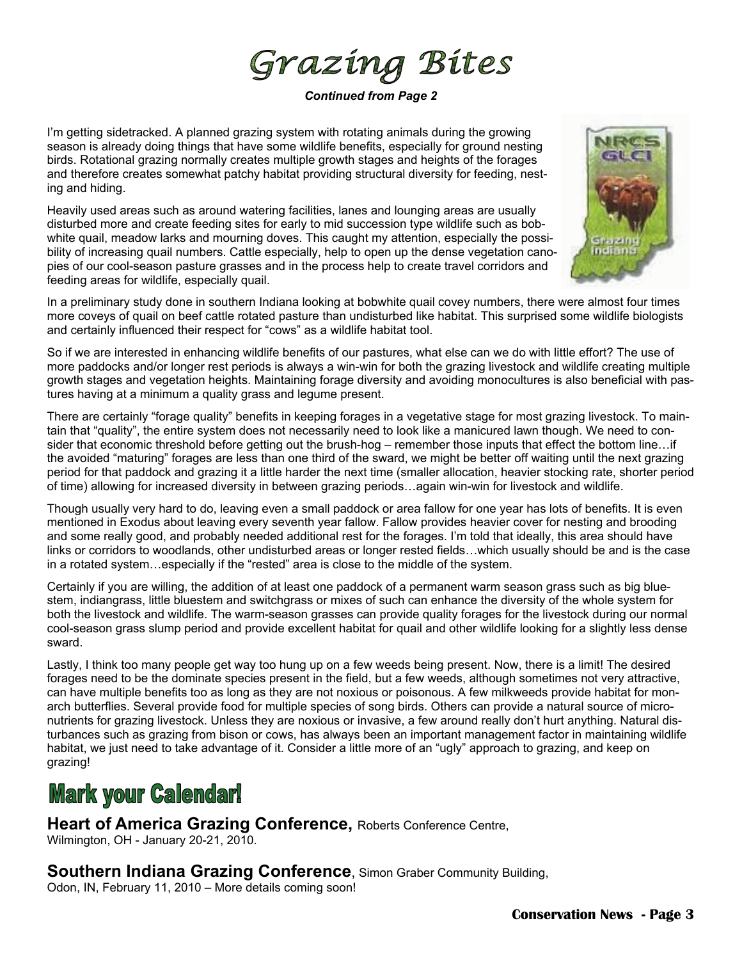Grazing Bites

*Continued from Page 2* 

I'm getting sidetracked. A planned grazing system with rotating animals during the growing season is already doing things that have some wildlife benefits, especially for ground nesting birds. Rotational grazing normally creates multiple growth stages and heights of the forages and therefore creates somewhat patchy habitat providing structural diversity for feeding, nesting and hiding.

Heavily used areas such as around watering facilities, lanes and lounging areas are usually disturbed more and create feeding sites for early to mid succession type wildlife such as bobwhite quail, meadow larks and mourning doves. This caught my attention, especially the possibility of increasing quail numbers. Cattle especially, help to open up the dense vegetation canopies of our cool-season pasture grasses and in the process help to create travel corridors and feeding areas for wildlife, especially quail.



In a preliminary study done in southern Indiana looking at bobwhite quail covey numbers, there were almost four times more coveys of quail on beef cattle rotated pasture than undisturbed like habitat. This surprised some wildlife biologists and certainly influenced their respect for "cows" as a wildlife habitat tool.

So if we are interested in enhancing wildlife benefits of our pastures, what else can we do with little effort? The use of more paddocks and/or longer rest periods is always a win-win for both the grazing livestock and wildlife creating multiple growth stages and vegetation heights. Maintaining forage diversity and avoiding monocultures is also beneficial with pastures having at a minimum a quality grass and legume present.

There are certainly "forage quality" benefits in keeping forages in a vegetative stage for most grazing livestock. To maintain that "quality", the entire system does not necessarily need to look like a manicured lawn though. We need to consider that economic threshold before getting out the brush-hog – remember those inputs that effect the bottom line…if the avoided "maturing" forages are less than one third of the sward, we might be better off waiting until the next grazing period for that paddock and grazing it a little harder the next time (smaller allocation, heavier stocking rate, shorter period of time) allowing for increased diversity in between grazing periods…again win-win for livestock and wildlife.

Though usually very hard to do, leaving even a small paddock or area fallow for one year has lots of benefits. It is even mentioned in Exodus about leaving every seventh year fallow. Fallow provides heavier cover for nesting and brooding and some really good, and probably needed additional rest for the forages. I'm told that ideally, this area should have links or corridors to woodlands, other undisturbed areas or longer rested fields…which usually should be and is the case in a rotated system…especially if the "rested" area is close to the middle of the system.

Certainly if you are willing, the addition of at least one paddock of a permanent warm season grass such as big bluestem, indiangrass, little bluestem and switchgrass or mixes of such can enhance the diversity of the whole system for both the livestock and wildlife. The warm-season grasses can provide quality forages for the livestock during our normal cool-season grass slump period and provide excellent habitat for quail and other wildlife looking for a slightly less dense sward.

Lastly, I think too many people get way too hung up on a few weeds being present. Now, there is a limit! The desired forages need to be the dominate species present in the field, but a few weeds, although sometimes not very attractive, can have multiple benefits too as long as they are not noxious or poisonous. A few milkweeds provide habitat for monarch butterflies. Several provide food for multiple species of song birds. Others can provide a natural source of micronutrients for grazing livestock. Unless they are noxious or invasive, a few around really don't hurt anything. Natural disturbances such as grazing from bison or cows, has always been an important management factor in maintaining wildlife habitat, we just need to take advantage of it. Consider a little more of an "ugly" approach to grazing, and keep on grazing!

## **Mark your Calendar!**

**Heart of America Grazing Conference,** Roberts Conference Centre, Wilmington, OH - January 20-21, 2010.

**Southern Indiana Grazing Conference**, Simon Graber Community Building,

Odon, IN, February 11, 2010 – More details coming soon!